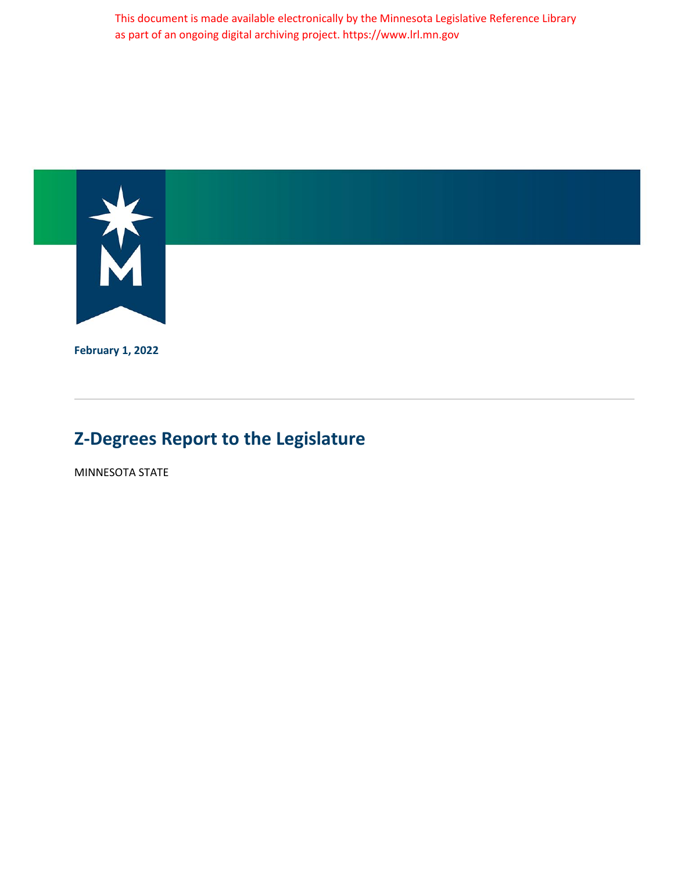This document is made available electronically by the Minnesota Legislative Reference Library as part of an ongoing digital archiving project. https://www.lrl.mn.gov



**February 1, 2022**

# **Z-Degrees Report to the Legislature**

MINNESOTA STATE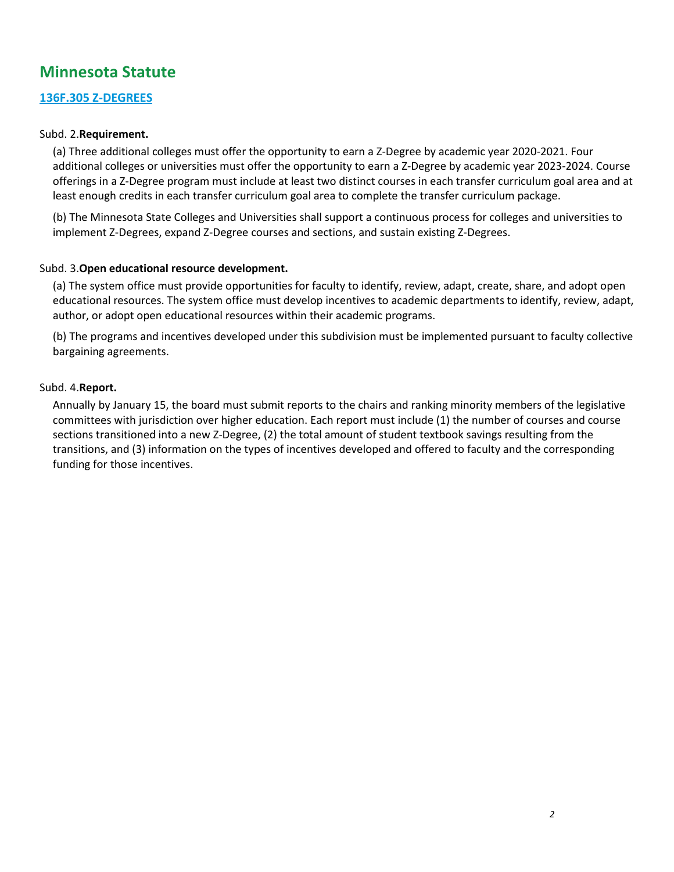# **Minnesota Statute**

#### **[136F.305 Z-DEGREES](https://www.revisor.mn.gov/statutes/2021/cite/136F.305)**

#### Subd. 2.**Requirement.**

(a) Three additional colleges must offer the opportunity to earn a Z-Degree by academic year 2020-2021. Four additional colleges or universities must offer the opportunity to earn a Z-Degree by academic year 2023-2024. Course offerings in a Z-Degree program must include at least two distinct courses in each transfer curriculum goal area and at least enough credits in each transfer curriculum goal area to complete the transfer curriculum package.

(b) The Minnesota State Colleges and Universities shall support a continuous process for colleges and universities to implement Z-Degrees, expand Z-Degree courses and sections, and sustain existing Z-Degrees.

#### Subd. 3.**Open educational resource development.**

(a) The system office must provide opportunities for faculty to identify, review, adapt, create, share, and adopt open educational resources. The system office must develop incentives to academic departments to identify, review, adapt, author, or adopt open educational resources within their academic programs.

(b) The programs and incentives developed under this subdivision must be implemented pursuant to faculty collective bargaining agreements.

#### Subd. 4.**Report.**

Annually by January 15, the board must submit reports to the chairs and ranking minority members of the legislative committees with jurisdiction over higher education. Each report must include (1) the number of courses and course sections transitioned into a new Z-Degree, (2) the total amount of student textbook savings resulting from the transitions, and (3) information on the types of incentives developed and offered to faculty and the corresponding funding for those incentives.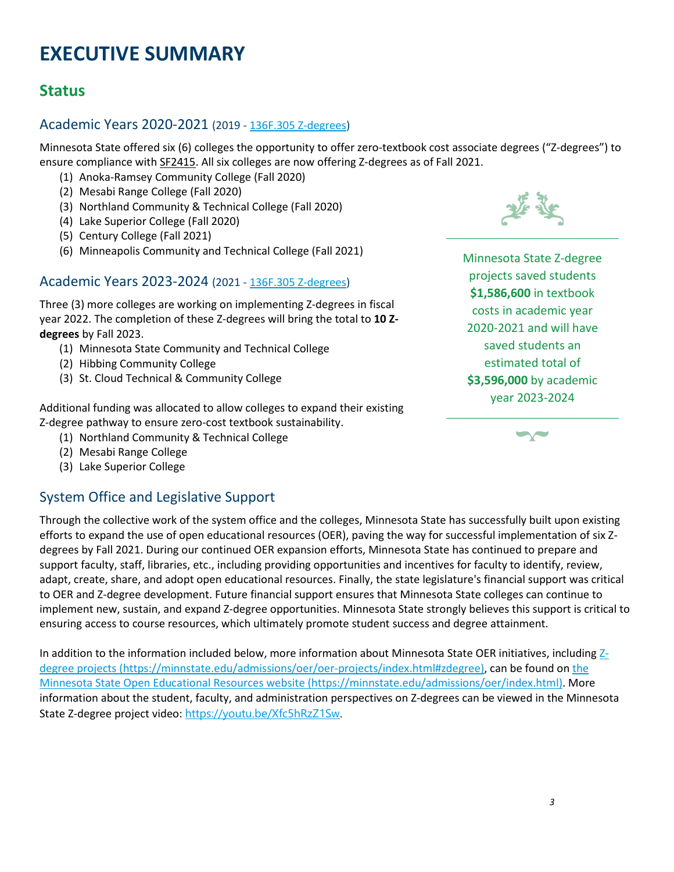# **EXECUTIVE SUMMARY**

# **Status**

## Academic Years 2020-2021 (2019 - [136F.305 Z-degrees\)](https://www.revisor.mn.gov/statutes/2019/cite/136F.305)

Minnesota State offered six (6) colleges the opportunity to offer zero-textbook cost associate degrees ("Z-degrees") to ensure compliance with [SF2415.](https://www.revisor.mn.gov/laws/2019/0/Session+Law/Chapter/64/) All six colleges are now offering Z-degrees as of Fall 2021.

- (1) Anoka-Ramsey Community College (Fall 2020)
- (2) Mesabi Range College (Fall 2020)
- (3) Northland Community & Technical College (Fall 2020)
- (4) Lake Superior College (Fall 2020)
- (5) Century College (Fall 2021)
- (6) Minneapolis Community and Technical College (Fall 2021)

### Academic Years 2023-2024 (2021 - [136F.305 Z-degrees\)](https://www.revisor.mn.gov/statutes/2021/cite/136F.305)

Three (3) more colleges are working on implementing Z-degrees in fiscal year 2022. The completion of these Z-degrees will bring the total to **10 Zdegrees** by Fall 2023.

- (1) Minnesota State Community and Technical College
- (2) Hibbing Community College
- (3) St. Cloud Technical & Community College

Additional funding was allocated to allow colleges to expand their existing Z-degree pathway to ensure zero-cost textbook sustainability.

- (1) Northland Community & Technical College
- (2) Mesabi Range College
- (3) Lake Superior College

# System Office and Legislative Support

Through the collective work of the system office and the colleges, Minnesota State has successfully built upon existing efforts to expand the use of open educational resources (OER), paving the way for successful implementation of six Zdegrees by Fall 2021. During our continued OER expansion efforts, Minnesota State has continued to prepare and support faculty, staff, libraries, etc., including providing opportunities and incentives for faculty to identify, review, adapt, create, share, and adopt open educational resources. Finally, the state legislature's financial support was critical to OER and Z-degree development. Future financial support ensures that Minnesota State colleges can continue to implement new, sustain, and expand Z-degree opportunities. Minnesota State strongly believes this support is critical to ensuring access to course resources, which ultimately promote student success and degree attainment.

In addition to the information included below, more information about Minnesota State OER initiatives, including Zdegree projects (https://minnstate.edu/admissions/oer/oer-projects/index.html#zdegree), can be found on the Minnesota State Open Educational Resources website (https://minnstate.edu/admissions/oer/index.html). More information about the student, faculty, and administration perspectives on Z-degrees can be viewed in the Minnesota State Z-degree project video: [https://youtu.be/Xfc5hRzZ1Sw.](https://youtu.be/Xfc5hRzZ1Sw)



Minnesota State Z-degree projects saved students **\$1,586,600** in textbook costs in academic year 2020-2021 and will have saved students an estimated total of **\$3,596,000** by academic year 2023-2024

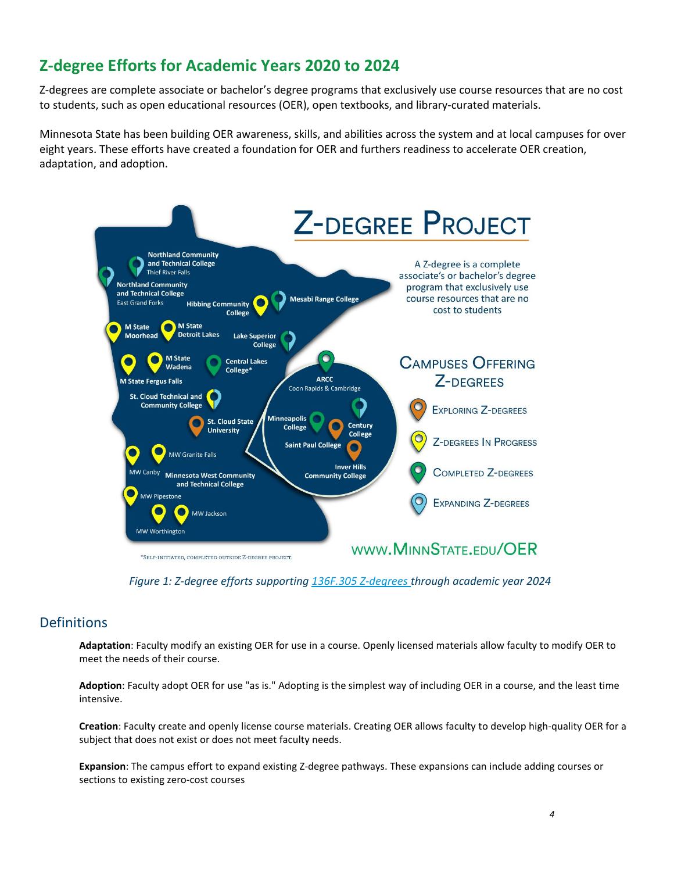# **Z-degree Efforts for Academic Years 2020 to 2024**

Z-degrees are complete associate or bachelor's degree programs that exclusively use course resources that are no cost to students, such as open educational resources (OER), open textbooks, and library-curated materials.

Minnesota State has been building OER awareness, skills, and abilities across the system and at local campuses for over eight years. These efforts have created a foundation for OER and furthers readiness to accelerate OER creation, adaptation, and adoption.



*Figure 1: Z-degree efforts supporting [136F.305 Z-degrees](https://www.revisor.mn.gov/statutes/2021/cite/136F.305) through academic year 2024*

### **Definitions**

**Adaptation**: Faculty modify an existing OER for use in a course. Openly licensed materials allow faculty to modify OER to meet the needs of their course.

**Adoption**: Faculty adopt OER for use "as is." Adopting is the simplest way of including OER in a course, and the least time intensive.

**Creation**: Faculty create and openly license course materials. Creating OER allows faculty to develop high-quality OER for a subject that does not exist or does not meet faculty needs.

**Expansion**: The campus effort to expand existing Z-degree pathways. These expansions can include adding courses or sections to existing zero-cost courses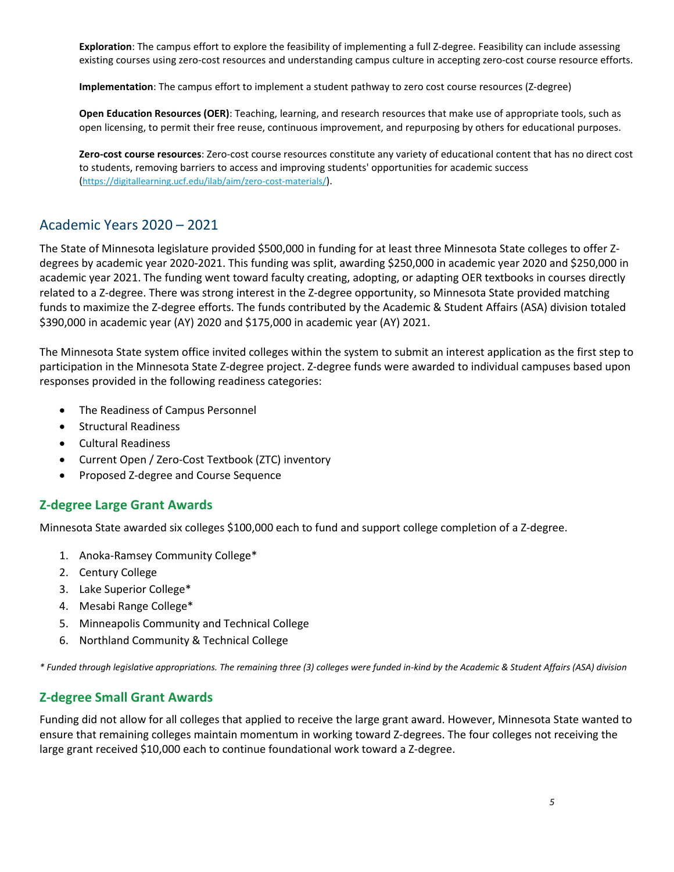**Exploration**: The campus effort to explore the feasibility of implementing a full Z-degree. Feasibility can include assessing existing courses using zero-cost resources and understanding campus culture in accepting zero-cost course resource efforts.

**Implementation**: The campus effort to implement a student pathway to zero cost course resources (Z-degree)

**Open Education Resources (OER)**: Teaching, learning, and research resources that make use of appropriate tools, such as open licensing, to permit their free reuse, continuous improvement, and repurposing by others for educational purposes.

**Zero-cost course resources**: Zero-cost course resources constitute any variety of educational content that has no direct cost to students, removing barriers to access and improving students' opportunities for academic success [\(https://digitallearning.ucf.edu/ilab/aim/zero-cost-materials/\)](https://digitallearning.ucf.edu/ilab/aim/zero-cost-materials/).

## Academic Years 2020 – 2021

The State of Minnesota legislature provided \$500,000 in funding for at least three Minnesota State colleges to offer Zdegrees by academic year 2020-2021. This funding was split, awarding \$250,000 in academic year 2020 and \$250,000 in academic year 2021. The funding went toward faculty creating, adopting, or adapting OER textbooks in courses directly related to a Z-degree. There was strong interest in the Z-degree opportunity, so Minnesota State provided matching funds to maximize the Z-degree efforts. The funds contributed by the Academic & Student Affairs (ASA) division totaled \$390,000 in academic year (AY) 2020 and \$175,000 in academic year (AY) 2021.

The Minnesota State system office invited colleges within the system to submit an interest application as the first step to participation in the Minnesota State Z-degree project. Z-degree funds were awarded to individual campuses based upon responses provided in the following readiness categories:

- The Readiness of Campus Personnel
- Structural Readiness
- Cultural Readiness
- Current Open / Zero-Cost Textbook (ZTC) inventory
- Proposed Z-degree and Course Sequence

#### **Z-degree Large Grant Awards**

Minnesota State awarded six colleges \$100,000 each to fund and support college completion of a Z-degree.

- 1. Anoka-Ramsey Community College\*
- 2. Century College
- 3. Lake Superior College\*
- 4. Mesabi Range College\*
- 5. Minneapolis Community and Technical College
- 6. Northland Community & Technical College

*\* Funded through legislative appropriations. The remaining three (3) colleges were funded in-kind by the Academic & Student Affairs (ASA) division*

### **Z-degree Small Grant Awards**

Funding did not allow for all colleges that applied to receive the large grant award. However, Minnesota State wanted to ensure that remaining colleges maintain momentum in working toward Z-degrees. The four colleges not receiving the large grant received \$10,000 each to continue foundational work toward a Z-degree.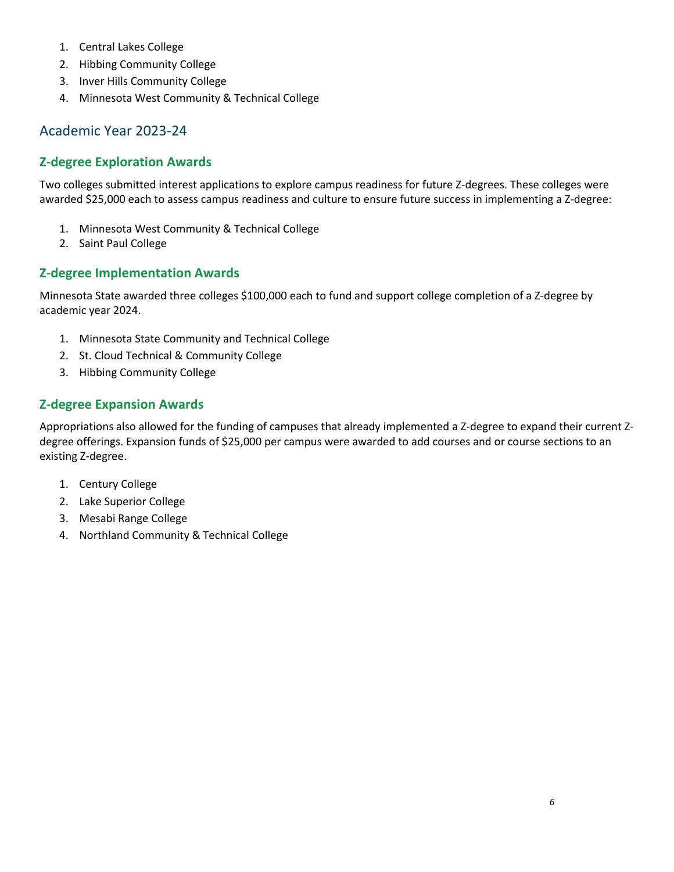- 1. Central Lakes College
- 2. Hibbing Community College
- 3. Inver Hills Community College
- 4. Minnesota West Community & Technical College

### Academic Year 2023-24

### **Z-degree Exploration Awards**

Two colleges submitted interest applications to explore campus readiness for future Z-degrees. These colleges were awarded \$25,000 each to assess campus readiness and culture to ensure future success in implementing a Z-degree:

- 1. Minnesota West Community & Technical College
- 2. Saint Paul College

### **Z-degree Implementation Awards**

Minnesota State awarded three colleges \$100,000 each to fund and support college completion of a Z-degree by academic year 2024.

- 1. Minnesota State Community and Technical College
- 2. St. Cloud Technical & Community College
- 3. Hibbing Community College

### **Z-degree Expansion Awards**

Appropriations also allowed for the funding of campuses that already implemented a Z-degree to expand their current Zdegree offerings. Expansion funds of \$25,000 per campus were awarded to add courses and or course sections to an existing Z-degree.

- 1. Century College
- 2. Lake Superior College
- 3. Mesabi Range College
- 4. Northland Community & Technical College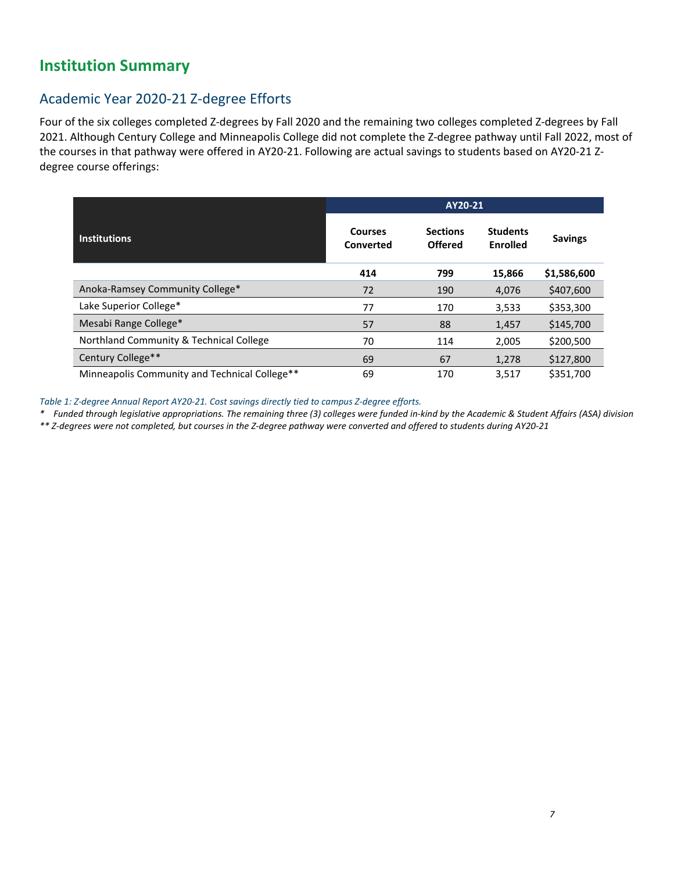# **Institution Summary**

# Academic Year 2020-21 Z-degree Efforts

Four of the six colleges completed Z-degrees by Fall 2020 and the remaining two colleges completed Z-degrees by Fall 2021. Although Century College and Minneapolis College did not complete the Z-degree pathway until Fall 2022, most of the courses in that pathway were offered in AY20-21. Following are actual savings to students based on AY20-21 Zdegree course offerings:

|                                               | AY20-21                     |                                   |                                    |                |  |  |  |
|-----------------------------------------------|-----------------------------|-----------------------------------|------------------------------------|----------------|--|--|--|
| <b>Institutions</b>                           | <b>Courses</b><br>Converted | <b>Sections</b><br><b>Offered</b> | <b>Students</b><br><b>Enrolled</b> | <b>Savings</b> |  |  |  |
|                                               | 414                         | 799                               | 15,866                             | \$1,586,600    |  |  |  |
| Anoka-Ramsey Community College*               | 72                          | 190                               | 4,076                              | \$407,600      |  |  |  |
| Lake Superior College*                        | 77                          | 170                               | 3,533                              | \$353,300      |  |  |  |
| Mesabi Range College*                         | 57                          | 88                                | 1,457                              | \$145,700      |  |  |  |
| Northland Community & Technical College       | 70                          | 114                               | 2,005                              | \$200,500      |  |  |  |
| Century College**                             | 69                          | 67                                | 1,278                              | \$127,800      |  |  |  |
| Minneapolis Community and Technical College** | 69                          | 170                               | 3.517                              | \$351,700      |  |  |  |

*Table 1: Z-degree Annual Report AY20-21. Cost savings directly tied to campus Z-degree efforts.* 

*\* Funded through legislative appropriations. The remaining three (3) colleges were funded in-kind by the Academic & Student Affairs (ASA) division*

*\*\* Z-degrees were not completed, but courses in the Z-degree pathway were converted and offered to students during AY20-21*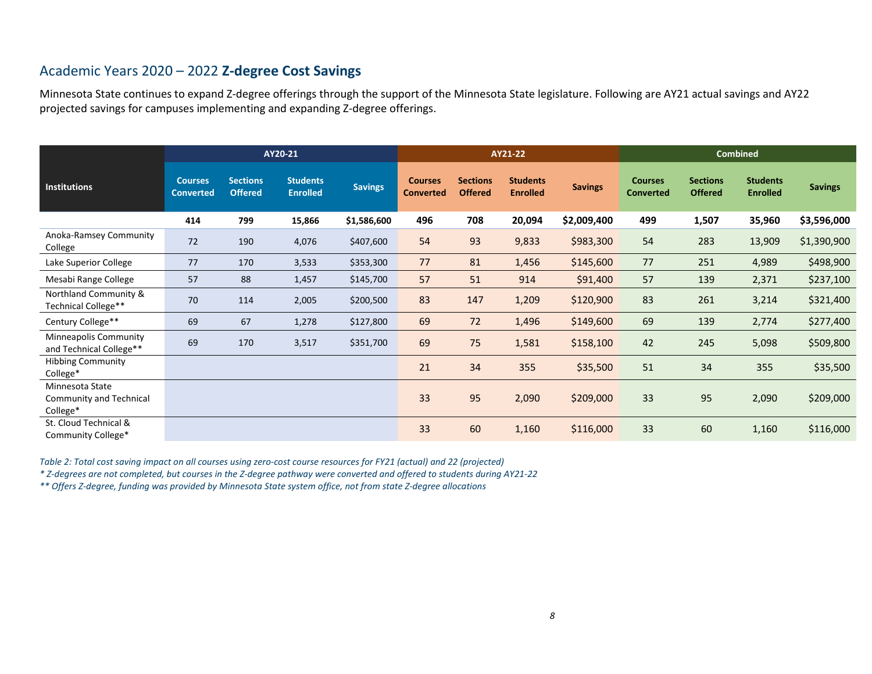# Academic Years 2020 – 2022 **Z-degree Cost Savings**

Minnesota State continues to expand Z-degree offerings through the support of the Minnesota State legislature. Following are AY21 actual savings and AY22 projected savings for campuses implementing and expanding Z-degree offerings.

|                                                               |                                    |                                   | AY21-22                            |                |                                    |                                   | <b>Combined</b>                    |                |                                    |                                   |                                    |                |
|---------------------------------------------------------------|------------------------------------|-----------------------------------|------------------------------------|----------------|------------------------------------|-----------------------------------|------------------------------------|----------------|------------------------------------|-----------------------------------|------------------------------------|----------------|
| Institutions                                                  | <b>Courses</b><br><b>Converted</b> | <b>Sections</b><br><b>Offered</b> | <b>Students</b><br><b>Enrolled</b> | <b>Savings</b> | <b>Courses</b><br><b>Converted</b> | <b>Sections</b><br><b>Offered</b> | <b>Students</b><br><b>Enrolled</b> | <b>Savings</b> | <b>Courses</b><br><b>Converted</b> | <b>Sections</b><br><b>Offered</b> | <b>Students</b><br><b>Enrolled</b> | <b>Savings</b> |
|                                                               | 414                                | 799                               | 15,866                             | \$1,586,600    | 496                                | 708                               | 20,094                             | \$2,009,400    | 499                                | 1,507                             | 35,960                             | \$3,596,000    |
| Anoka-Ramsey Community<br>College                             | 72                                 | 190                               | 4,076                              | \$407,600      | 54                                 | 93                                | 9,833                              | \$983,300      | 54                                 | 283                               | 13,909                             | \$1,390,900    |
| Lake Superior College                                         | 77                                 | 170                               | 3,533                              | \$353,300      | 77                                 | 81                                | 1,456                              | \$145,600      | 77                                 | 251                               | 4,989                              | \$498,900      |
| Mesabi Range College                                          | 57                                 | 88                                | 1,457                              | \$145,700      | 57                                 | 51                                | 914                                | \$91,400       | 57                                 | 139                               | 2,371                              | \$237,100      |
| Northland Community &<br>Technical College**                  | 70                                 | 114                               | 2,005                              | \$200,500      | 83                                 | 147                               | 1,209                              | \$120,900      | 83                                 | 261                               | 3,214                              | \$321,400      |
| Century College**                                             | 69                                 | 67                                | 1,278                              | \$127,800      | 69                                 | 72                                | 1,496                              | \$149,600      | 69                                 | 139                               | 2,774                              | \$277,400      |
| Minneapolis Community<br>and Technical College**              | 69                                 | 170                               | 3,517                              | \$351,700      | 69                                 | 75                                | 1,581                              | \$158,100      | 42                                 | 245                               | 5,098                              | \$509,800      |
| <b>Hibbing Community</b><br>College*                          |                                    |                                   |                                    |                | 21                                 | 34                                | 355                                | \$35,500       | 51                                 | 34                                | 355                                | \$35,500       |
| Minnesota State<br><b>Community and Technical</b><br>College* |                                    |                                   |                                    |                | 33                                 | 95                                | 2,090                              | \$209,000      | 33                                 | 95                                | 2,090                              | \$209,000      |
| St. Cloud Technical &<br>Community College*                   |                                    |                                   |                                    |                | 33                                 | 60                                | 1,160                              | \$116,000      | 33                                 | 60                                | 1,160                              | \$116,000      |

*Table 2: Total cost saving impact on all courses using zero-cost course resources for FY21 (actual) and 22 (projected)* 

*\* Z-degrees are not completed, but courses in the Z-degree pathway were converted and offered to students during AY21-22*

*\*\* Offers Z-degree, funding was provided by Minnesota State system office, not from state Z-degree allocations*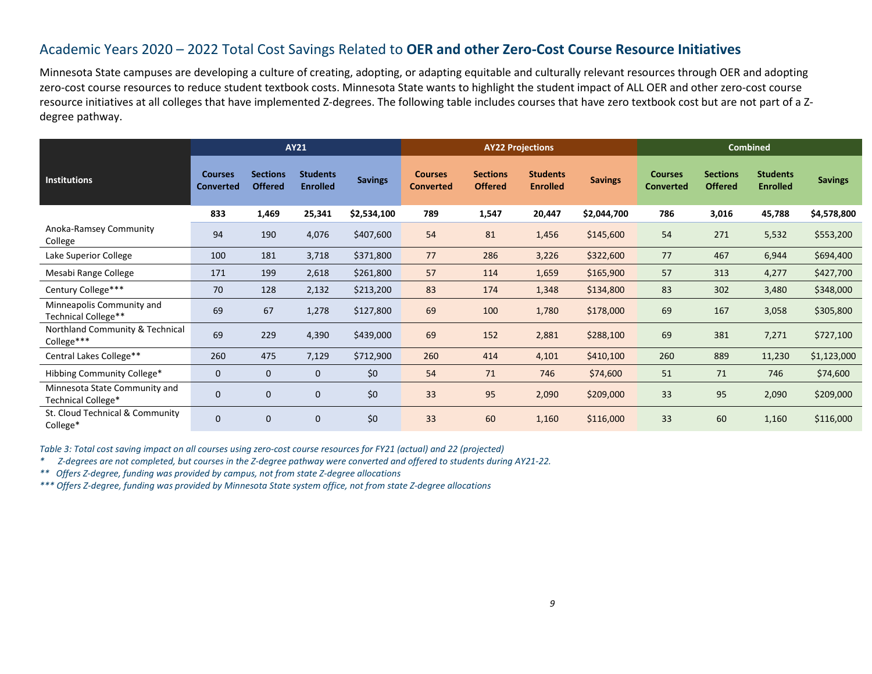### Academic Years 2020 – 2022 Total Cost Savings Related to **OER and other Zero-Cost Course Resource Initiatives**

Minnesota State campuses are developing a culture of creating, adopting, or adapting equitable and culturally relevant resources through OER and adopting zero-cost course resources to reduce student textbook costs. Minnesota State wants to highlight the student impact of ALL OER and other zero-cost course resource initiatives at all colleges that have implemented Z-degrees. The following table includes courses that have zero textbook cost but are not part of a Zdegree pathway.

|                                                     | <b>AY21</b>                        |                                   |                                    |                | <b>AY22 Projections</b>            |                                   |                                    |                | <b>Combined</b>                    |                                   |                                    |                |
|-----------------------------------------------------|------------------------------------|-----------------------------------|------------------------------------|----------------|------------------------------------|-----------------------------------|------------------------------------|----------------|------------------------------------|-----------------------------------|------------------------------------|----------------|
| <b>Institutions</b>                                 | <b>Courses</b><br><b>Converted</b> | <b>Sections</b><br><b>Offered</b> | <b>Students</b><br><b>Enrolled</b> | <b>Savings</b> | <b>Courses</b><br><b>Converted</b> | <b>Sections</b><br><b>Offered</b> | <b>Students</b><br><b>Enrolled</b> | <b>Savings</b> | <b>Courses</b><br><b>Converted</b> | <b>Sections</b><br><b>Offered</b> | <b>Students</b><br><b>Enrolled</b> | <b>Savings</b> |
|                                                     | 833                                | 1,469                             | 25,341                             | \$2,534,100    | 789                                | 1,547                             | 20,447                             | \$2,044,700    | 786                                | 3,016                             | 45,788                             | \$4,578,800    |
| Anoka-Ramsey Community<br>College                   | 94                                 | 190                               | 4,076                              | \$407,600      | 54                                 | 81                                | 1,456                              | \$145,600      | 54                                 | 271                               | 5,532                              | \$553,200      |
| Lake Superior College                               | 100                                | 181                               | 3,718                              | \$371,800      | 77                                 | 286                               | 3,226                              | \$322,600      | 77                                 | 467                               | 6,944                              | \$694,400      |
| Mesabi Range College                                | 171                                | 199                               | 2,618                              | \$261,800      | 57                                 | 114                               | 1,659                              | \$165,900      | 57                                 | 313                               | 4,277                              | \$427,700      |
| Century College***                                  | 70                                 | 128                               | 2,132                              | \$213,200      | 83                                 | 174                               | 1,348                              | \$134,800      | 83                                 | 302                               | 3,480                              | \$348,000      |
| Minneapolis Community and<br>Technical College**    | 69                                 | 67                                | 1,278                              | \$127,800      | 69                                 | 100                               | 1,780                              | \$178,000      | 69                                 | 167                               | 3,058                              | \$305,800      |
| Northland Community & Technical<br>College***       | 69                                 | 229                               | 4,390                              | \$439,000      | 69                                 | 152                               | 2,881                              | \$288,100      | 69                                 | 381                               | 7,271                              | \$727,100      |
| Central Lakes College**                             | 260                                | 475                               | 7,129                              | \$712,900      | 260                                | 414                               | 4,101                              | \$410,100      | 260                                | 889                               | 11,230                             | \$1,123,000    |
| Hibbing Community College*                          | $\mathbf{0}$                       | $\mathbf{0}$                      | $\mathbf{0}$                       | \$0            | 54                                 | 71                                | 746                                | \$74,600       | 51                                 | 71                                | 746                                | \$74,600       |
| Minnesota State Community and<br>Technical College* | 0                                  | $\mathbf 0$                       | $\mathbf 0$                        | \$0            | 33                                 | 95                                | 2,090                              | \$209,000      | 33                                 | 95                                | 2,090                              | \$209,000      |
| St. Cloud Technical & Community<br>College*         | $\mathbf{0}$                       | $\mathbf{0}$                      | $\mathbf 0$                        | \$0            | 33                                 | 60                                | 1,160                              | \$116,000      | 33                                 | 60                                | 1,160                              | \$116,000      |

*Table 3: Total cost saving impact on all courses using zero-cost course resources for FY21 (actual) and 22 (projected)* 

*\* Z-degrees are not completed, but courses in the Z-degree pathway were converted and offered to students during AY21-22.*

*\*\* Offers Z-degree, funding was provided by campus, not from state Z-degree allocations*

*\*\*\* Offers Z-degree, funding was provided by Minnesota State system office, not from state Z-degree allocations*